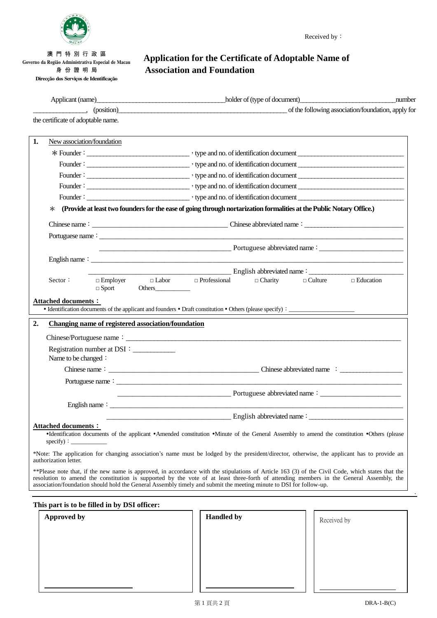

澳 門 特 別 行 政 區 **Governo da Região Administrativa Especial de Macau** 身 份 證 明 局 **Direcção dos Serviços de Identificação**

## **Application for the Certificate of Adoptable Name of Association and Foundation**

|                                                                                                     |                              |                                                    |                                                                                                                      | Applicant (name) holder of (type of document) holder of (type of document)<br>number                                                                                                                                                                                                                                                                                                                                                       |
|-----------------------------------------------------------------------------------------------------|------------------------------|----------------------------------------------------|----------------------------------------------------------------------------------------------------------------------|--------------------------------------------------------------------------------------------------------------------------------------------------------------------------------------------------------------------------------------------------------------------------------------------------------------------------------------------------------------------------------------------------------------------------------------------|
| the certificate of adoptable name.                                                                  |                              |                                                    | (position)                                                                                                           | of the following association/foundation, apply for                                                                                                                                                                                                                                                                                                                                                                                         |
|                                                                                                     |                              |                                                    |                                                                                                                      |                                                                                                                                                                                                                                                                                                                                                                                                                                            |
| New association/foundation<br>1.                                                                    |                              |                                                    |                                                                                                                      |                                                                                                                                                                                                                                                                                                                                                                                                                                            |
|                                                                                                     |                              |                                                    |                                                                                                                      |                                                                                                                                                                                                                                                                                                                                                                                                                                            |
|                                                                                                     |                              |                                                    |                                                                                                                      |                                                                                                                                                                                                                                                                                                                                                                                                                                            |
|                                                                                                     |                              |                                                    |                                                                                                                      |                                                                                                                                                                                                                                                                                                                                                                                                                                            |
|                                                                                                     |                              |                                                    |                                                                                                                      |                                                                                                                                                                                                                                                                                                                                                                                                                                            |
|                                                                                                     |                              |                                                    |                                                                                                                      |                                                                                                                                                                                                                                                                                                                                                                                                                                            |
| $\ast$                                                                                              |                              |                                                    | (Provide at least two founders for the ease of going through nortarization formalities at the Public Notary Office.) |                                                                                                                                                                                                                                                                                                                                                                                                                                            |
|                                                                                                     |                              |                                                    |                                                                                                                      |                                                                                                                                                                                                                                                                                                                                                                                                                                            |
|                                                                                                     |                              |                                                    |                                                                                                                      |                                                                                                                                                                                                                                                                                                                                                                                                                                            |
|                                                                                                     |                              |                                                    |                                                                                                                      |                                                                                                                                                                                                                                                                                                                                                                                                                                            |
|                                                                                                     |                              |                                                    | English name: $\frac{1}{2}$                                                                                          |                                                                                                                                                                                                                                                                                                                                                                                                                                            |
|                                                                                                     |                              |                                                    |                                                                                                                      |                                                                                                                                                                                                                                                                                                                                                                                                                                            |
| Sector:                                                                                             |                              |                                                    | $\Box$ Charity<br>$\Box$ Employer $\Box$ Labor $\Box$ Professional                                                   | $\Box$ Education<br>$\Box$ Culture                                                                                                                                                                                                                                                                                                                                                                                                         |
|                                                                                                     | $\Box$ Sport                 |                                                    |                                                                                                                      |                                                                                                                                                                                                                                                                                                                                                                                                                                            |
| 2.                                                                                                  |                              | Changing name of registered association/foundation |                                                                                                                      |                                                                                                                                                                                                                                                                                                                                                                                                                                            |
|                                                                                                     |                              |                                                    |                                                                                                                      |                                                                                                                                                                                                                                                                                                                                                                                                                                            |
|                                                                                                     | Registration number at DSI : |                                                    |                                                                                                                      |                                                                                                                                                                                                                                                                                                                                                                                                                                            |
| Name to be changed:                                                                                 |                              |                                                    |                                                                                                                      |                                                                                                                                                                                                                                                                                                                                                                                                                                            |
|                                                                                                     |                              |                                                    |                                                                                                                      |                                                                                                                                                                                                                                                                                                                                                                                                                                            |
|                                                                                                     |                              |                                                    |                                                                                                                      |                                                                                                                                                                                                                                                                                                                                                                                                                                            |
|                                                                                                     |                              |                                                    |                                                                                                                      | Dependence of the property of the property of the property of the property of the property of the property of the property of the property of the property of the property of the property of the property of the property of                                                                                                                                                                                                              |
|                                                                                                     |                              |                                                    |                                                                                                                      |                                                                                                                                                                                                                                                                                                                                                                                                                                            |
|                                                                                                     |                              |                                                    |                                                                                                                      |                                                                                                                                                                                                                                                                                                                                                                                                                                            |
|                                                                                                     |                              |                                                    | English abbreviated name:                                                                                            |                                                                                                                                                                                                                                                                                                                                                                                                                                            |
|                                                                                                     |                              |                                                    |                                                                                                                      |                                                                                                                                                                                                                                                                                                                                                                                                                                            |
| specify) $\colon$                                                                                   |                              |                                                    |                                                                                                                      | •Identification documents of the applicant •Amended constitution •Minute of the General Assembly to amend the constitution •Others (please                                                                                                                                                                                                                                                                                                 |
|                                                                                                     |                              |                                                    |                                                                                                                      |                                                                                                                                                                                                                                                                                                                                                                                                                                            |
|                                                                                                     |                              |                                                    | association/foundation should hold the General Assembly timely and submit the meeting minute to DSI for follow-up.   |                                                                                                                                                                                                                                                                                                                                                                                                                                            |
| <b>Attached documents:</b><br>authorization letter.<br>This part is to be filled in by DSI officer: |                              |                                                    |                                                                                                                      | *Note: The application for changing association's name must be lodged by the president/director, otherwise, the applicant has to provide an<br>**Please note that, if the new name is approved, in accordance with the stipulations of Article 163 (3) of the Civil Code, which states that the<br>resolution to amend the constitution is supported by the vote of at least three-forth of attending members in the General Assembly, the |